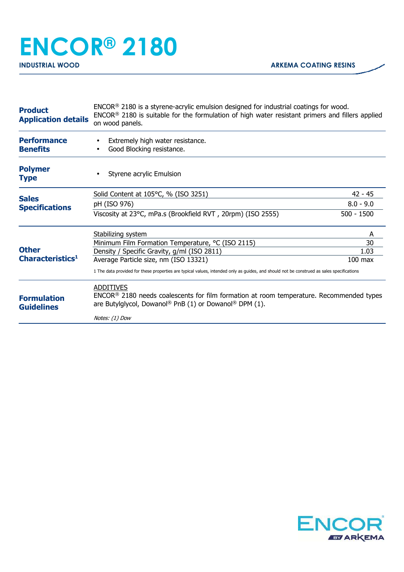## **ENCOR® 2180 INDUSTRIAL WOOD ARKEMA COATING RESINS**

| <b>Product</b><br><b>Application details</b> | $ENCOR®$ 2180 is a styrene-acrylic emulsion designed for industrial coatings for wood.<br>ENCOR <sup>®</sup> 2180 is suitable for the formulation of high water resistant primers and fillers applied<br>on wood panels. |              |
|----------------------------------------------|--------------------------------------------------------------------------------------------------------------------------------------------------------------------------------------------------------------------------|--------------|
| <b>Performance</b><br><b>Benefits</b>        | Extremely high water resistance.<br>Good Blocking resistance.                                                                                                                                                            |              |
| <b>Polymer</b><br><b>Type</b>                | Styrene acrylic Emulsion                                                                                                                                                                                                 |              |
| <b>Sales</b><br><b>Specifications</b>        | Solid Content at 105°C, % (ISO 3251)                                                                                                                                                                                     | $42 - 45$    |
|                                              | pH (ISO 976)                                                                                                                                                                                                             | $8.0 - 9.0$  |
|                                              | Viscosity at 23°C, mPa.s (Brookfield RVT, 20rpm) (ISO 2555)                                                                                                                                                              | $500 - 1500$ |
| <b>Other</b><br>Characteristics <sup>1</sup> | Stabilizing system                                                                                                                                                                                                       | A            |
|                                              | Minimum Film Formation Temperature, °C (ISO 2115)                                                                                                                                                                        | 30           |
|                                              | Density / Specific Gravity, g/ml (ISO 2811)                                                                                                                                                                              | 1.03         |
|                                              | Average Particle size, nm (ISO 13321)                                                                                                                                                                                    | $100$ max    |
|                                              | 1 The data provided for these properties are typical values, intended only as guides, and should not be construed as sales specifications                                                                                |              |
| <b>Formulation</b><br><b>Guidelines</b>      | <b>ADDITIVES</b><br>ENCOR <sup>®</sup> 2180 needs coalescents for film formation at room temperature. Recommended types<br>are Butylglycol, Dowanol <sup>®</sup> PnB (1) or Dowanol <sup>®</sup> DPM (1).                |              |
|                                              | Notes: (1) Dow                                                                                                                                                                                                           |              |